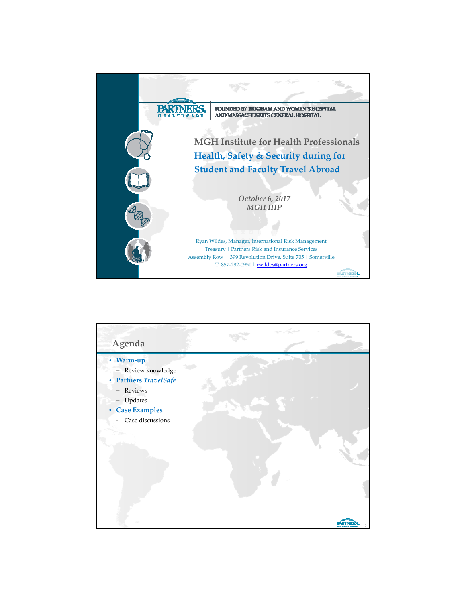

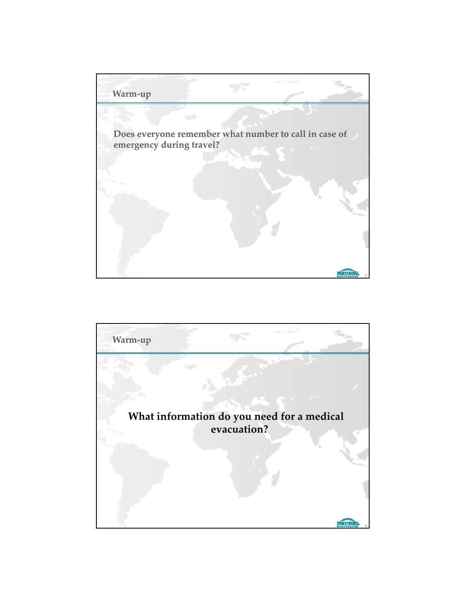

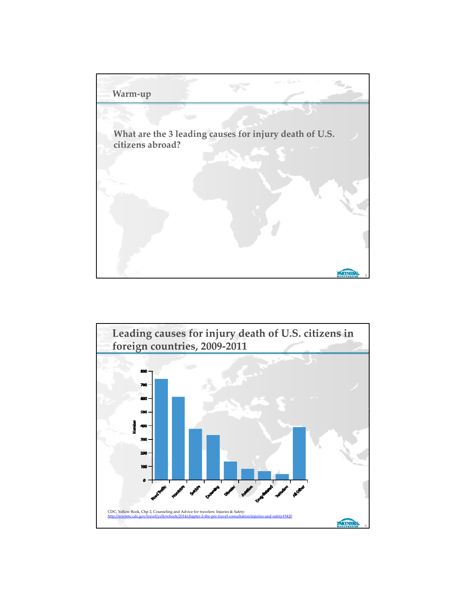

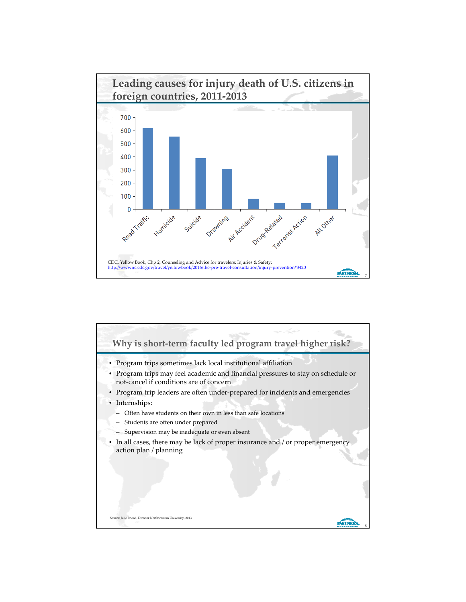

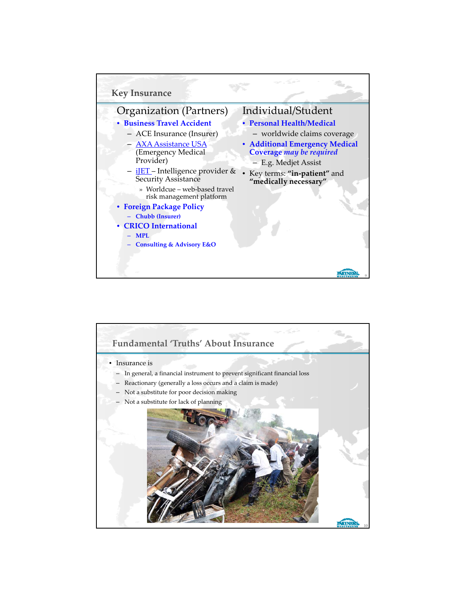

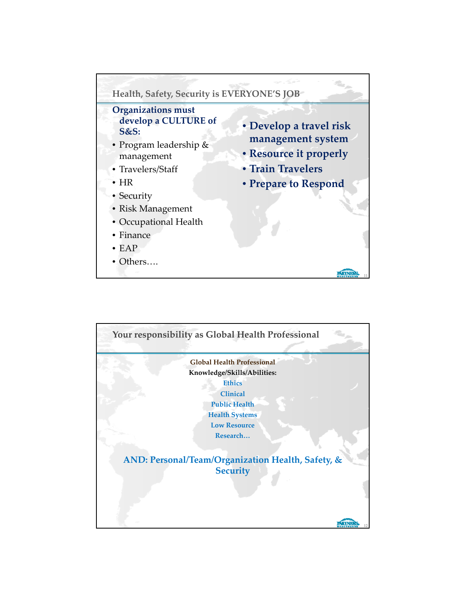

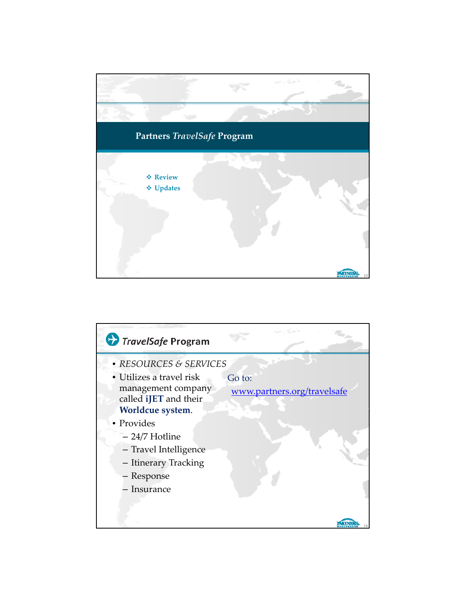

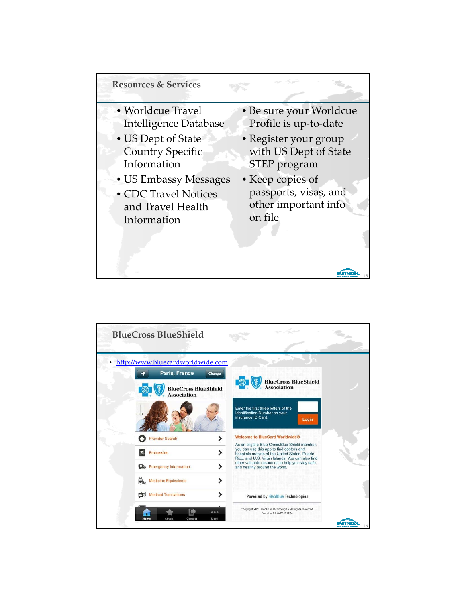

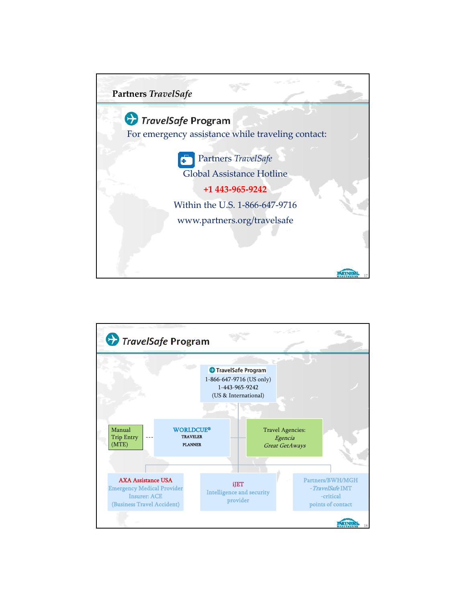

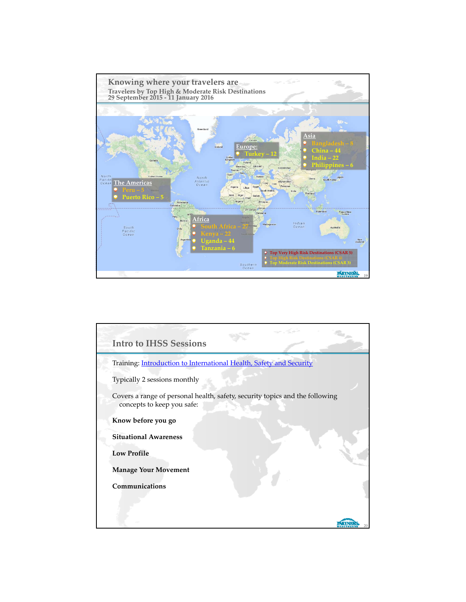

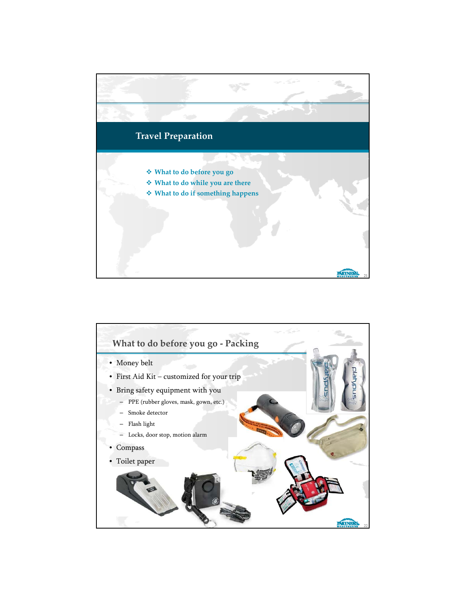

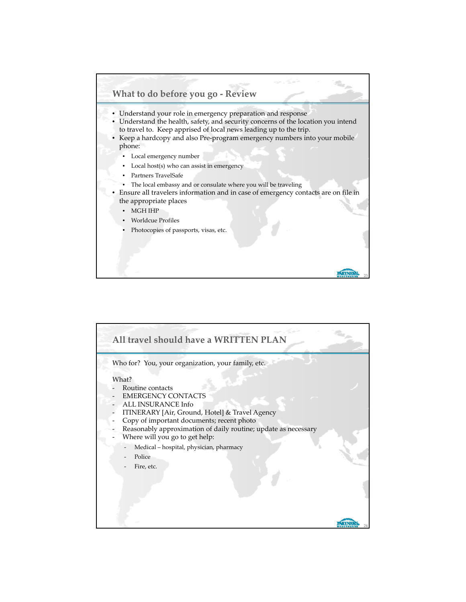

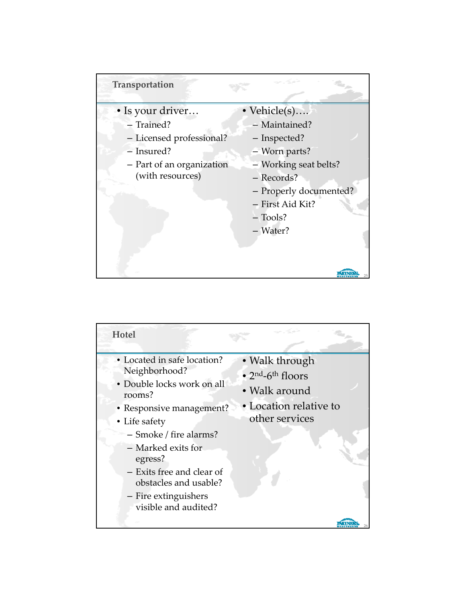

| Hotel                                                                                                                                                                                                                                                                                              |                                                                                                                                  |
|----------------------------------------------------------------------------------------------------------------------------------------------------------------------------------------------------------------------------------------------------------------------------------------------------|----------------------------------------------------------------------------------------------------------------------------------|
| • Located in safe location?<br>Neighborhood?<br>· Double locks work on all<br>rooms?<br>• Responsive management?<br>• Life safety<br>- Smoke / fire alarms?<br>- Marked exits for<br>egress?<br>- Exits free and clear of<br>obstacles and usable?<br>- Fire extinguishers<br>visible and audited? | • Walk through<br>$\bullet$ 2 <sup>nd</sup> -6 <sup>th</sup> floors<br>• Walk around<br>• Location relative to<br>other services |
|                                                                                                                                                                                                                                                                                                    |                                                                                                                                  |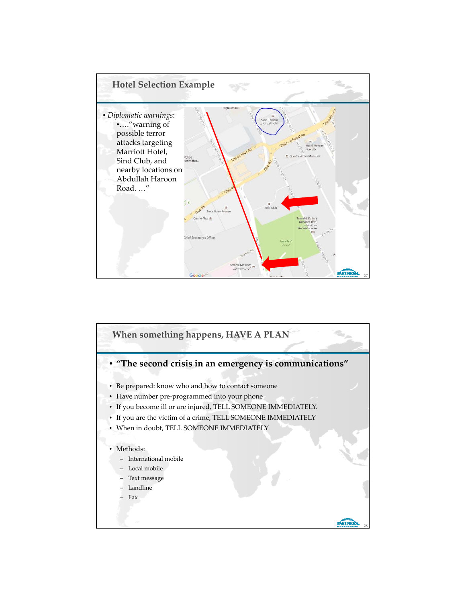

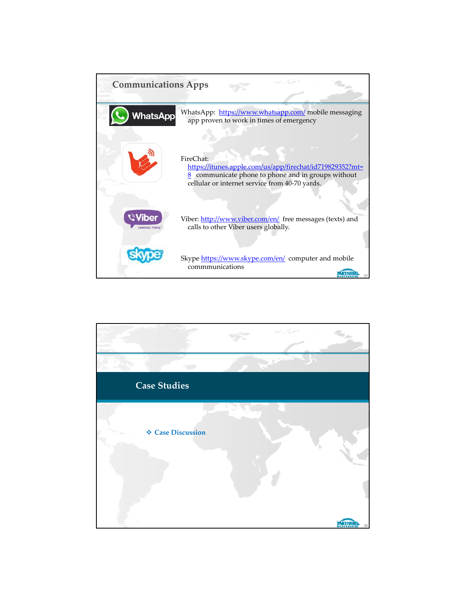| <b>Communications Apps</b>              |                                                                                                                                                                                 |
|-----------------------------------------|---------------------------------------------------------------------------------------------------------------------------------------------------------------------------------|
| <b>WhatsApp</b>                         | WhatsApp: https://www.whatsapp.com/ mobile messaging<br>app proven to work in times of emergency                                                                                |
|                                         | FireChat:<br>https://itunes.apple.com/us/app/firechat/id719829352?mt=<br>$8$ communicate phone to phone and in groups without<br>cellular or internet service from 40-70 yards. |
| <b>Viber</b><br><b>Connect, Freely.</b> | Viber: http://www.viber.com/en/ free messages (texts) and<br>calls to other Viber users globally.                                                                               |
|                                         | Skype https://www.skype.com/en/ computer and mobile<br>commmunications                                                                                                          |

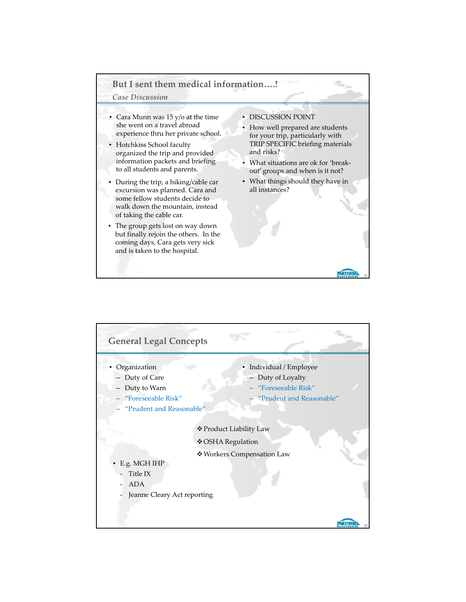## **But I sent them medical information….!**

## *Case Discussion*

- Cara Munn was 15 y/o at the time she went on a travel abroad experience thru her private school.
- Hotchkiss School faculty organized the trip and provided information packets and briefing to all students and parents.
- During the trip, a hiking/cable car excursion was planned. Cara and some fellow students decide to walk down the mountain, instead of taking the cable car.
- The group gets lost on way down but finally rejoin the others. In the coming days, Cara gets very sick and is taken to the hospital.
- DISCUSSION POINT
- How well prepared are students for your trip, particularly with TRIP SPECIFIC briefing materials and risks?
- What situations are ok for 'break‐ out' groups and when is it not?
- What things should they have in all instances?

31

ARIN

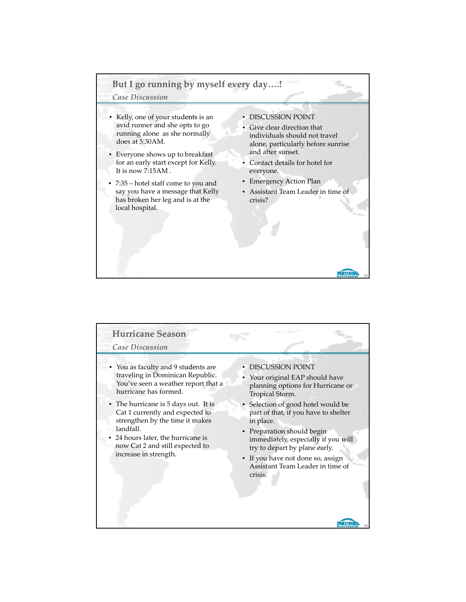# **But I go running by myself every day….!**

### *Case Discussion*

- Kelly, one of your students is an avid runner and she opts to go running alone as she normally does at 5:30AM.
- Everyone shows up to breakfast for an early start except for Kelly. It is now 7:15AM .
- 7:35 hotel staff come to you and say you have a message that Kelly has broken her leg and is at the local hospital.
- DISCUSSION POINT
- Give clear direction that individuals should not travel alone, particularly before sunrise and after sunset.
- Contact details for hotel for everyone.
- Emergency Action Plan
- Assistant Team Leader in time of crisis?

33

**MIN** 

#### **Hurricane Season** *Case Discussion* • You as faculty and 9 students are • DISCUSSION POINT traveling in Dominican Republic. • Your original EAP should have You've seen a weather report that a planning options for Hurricane or hurricane has formed. Tropical Storm. • The hurricane is 5 days out. It is • Selection of good hotel would be Cat 1 currently and expected to part of that, if you have to shelter strengthen by the time it makes in place. landfall. • Preparation should begin 24 hours later, the hurricane is immediately, especially if you will now Cat 2 and still expected to try to depart by plane early. increase in strength. • If you have not done so, assign Assistant Team Leader in time of crisis. **PERINE** 34